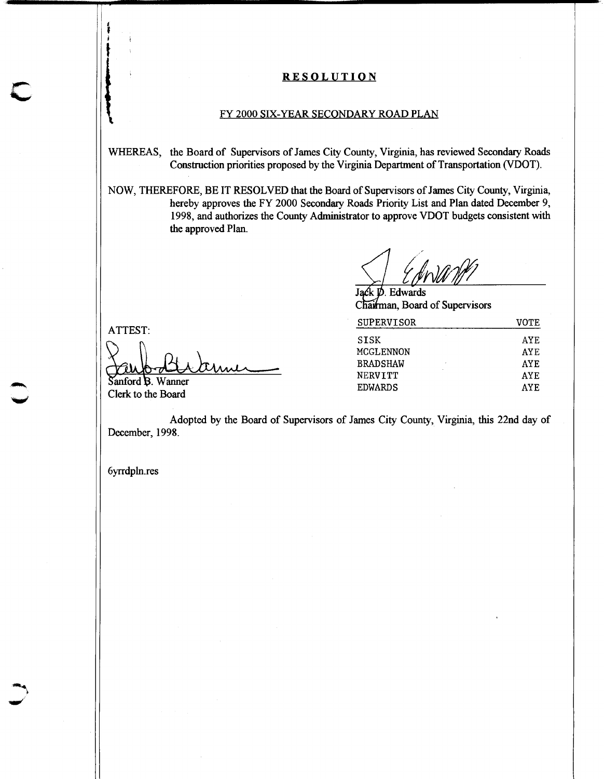## **RESOLUTION**

## FY 2000 SIX-YEAR SECONDARY ROAD PLAN

WHEREAS, the Board of Supervisors of James City County, Virginia, has reviewed Secondary Roads Construction priorities proposed by the Virginia Department of Transportation (VDOT).

NOW, THEREFORE, BE IT RESOLVED that the Board of Supervisors of James City County, Virginia, hereby approves the FY 2000 Secondary Roads Priority List and Plan dated December 9, 1998, and authorizes the County Administrator to approve VDOT budgets consistent with the approved **Plan.** 

Edwards J Chairman, Board of Supervisors

| <b>SUPERVISOR</b> | VOTE       |
|-------------------|------------|
| <b>SISK</b>       | AYE.       |
| MCGLENNON         | AYE.       |
| <b>BRADSHAW</b>   | AYF.       |
| <b>NERVITT</b>    | <b>AYE</b> |
| <b>EDWARDS</b>    | <b>AYF</b> |
|                   |            |

ATTEST:

 $\ddot{\ddot{\theta}}$ **t** 

Sanford B. Wanner Clerk to the Board

Adopted by the Board of Supervisors of James City County, Virginia, this 22nd day of December, 1998.

-

6yrrdpln.res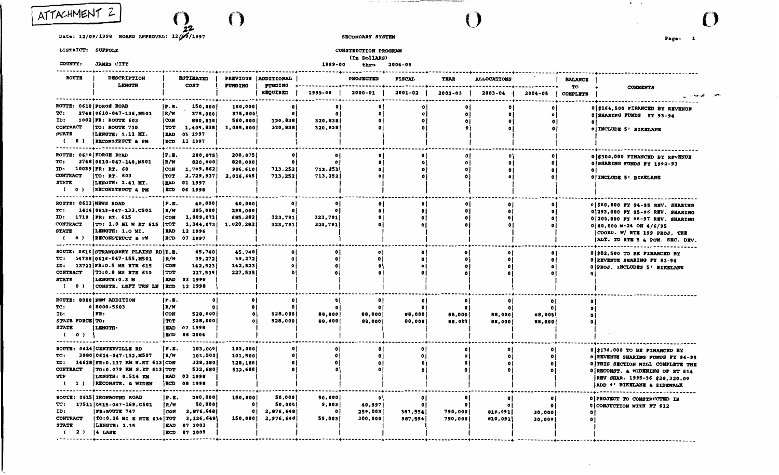ATTACHMENT

*z\_'J,*   $\left(\,\right)$ 

Date: 12/09/1998 BOARD APPROVAL: 12/09/1997

#### DISTRICT: SUFFOLK

#### COUNTY: JAMBS CITY

# SECONDARY SYSTEM

Page: 1

 $\mathbf{E}(\mathbf{r})$  ,  $\mathbf{E}(\mathbf{r})$ 

 $\rightarrow$ 

 $\mathcal{O}$ 

CONSTRUCTION PROGRAM

(In DollARS)

 $\mathcal{A}=\mathcal{A}\mathcal{A}$  ,  $\mathcal{A}=\mathcal{A}$ 

the contract of the complete change

 $()$ 

#### 1999-00 thru 2004-05

| <b>ROUTE</b>                      | <b>DESCRIPTION</b><br>LENGTH                      |                          | <b>ESTIMATED</b><br><b>COST</b> | FUNDING              | PREVIOUS ADDITIONAL   |                    | <b>PROJECTED</b> | <b>FISCAL</b> | <b>YEAR</b>  | <b>ALLOCATIONS</b> |              | <b>BALANCE</b>        |                                    |
|-----------------------------------|---------------------------------------------------|--------------------------|---------------------------------|----------------------|-----------------------|--------------------|------------------|---------------|--------------|--------------------|--------------|-----------------------|------------------------------------|
|                                   |                                                   |                          |                                 |                      | FUNDING<br>REQUIRED   | 1999-00            | $2000 - 01$      | 2001-02       | 2002-03      | 2003-04            | 2004-05      | TO<br><b>COMPLETE</b> | <b>COMMENTS</b>                    |
|                                   | ROUTE: 0610 FORGE ROAD                            | P.E.                     | 150,000                         | 150,000              | $\mathbf{0}$          | n                  |                  |               |              |                    | O            |                       | 0 \$164,500 FINANCED BY REVENUE    |
| TC:<br>ID:                        | 2748 0610-047-136, M501<br>1802 FR: ROUTE 603     | R/W<br><b>CON</b>        | 375,000                         | 375,000              | $\mathbf{0}$          |                    | $\bullet$<br>۰   | $\bullet$     |              | $\bullet$          | Ō.           |                       | 0 SHARING FUNDS FY 93-94           |
| <b>CONTRACT</b>                   | TO: ROUTE 715                                     | <b>TOT</b>               | 880,838<br>1,405,838            | 560,000<br>1,085,000 | 320,838<br>320,838    | 320,838<br>320,838 | O                | ۰             |              |                    | $\circ$      |                       | $\bullet$                          |
| <b>STATE</b>                      | LENGTH: 1.11 MI.                                  | <b>EAD</b>               | 05 1997                         |                      |                       |                    |                  |               |              |                    | ۰            |                       | 0 INCLUDE 5' BIKELANE              |
| $0$ )<br>- 1                      | RECONSTRUCT & PM<br>----------------------------- | ECD                      | 11 1997                         |                      |                       |                    |                  |               |              |                    |              |                       |                                    |
|                                   | ROUTE: 0610 FORGE ROAD                            | P.B.                     | 200,075                         | 200,075              |                       |                    |                  |               |              |                    | ۰            |                       | 0 \$300,000 FINANCED BY REVENUE    |
| TC:                               | 2748 0610-047-148, M501                           | R/W                      | 820,000                         | 820,000              | $\bullet$             |                    | $\bullet$        | Õ             |              | $\bullet$          | $\bullet$    |                       | 0 SHARING FUNDS FY 1992-93         |
| ID:                               | 10039 FR: RT. 60                                  | <b>CON</b>               | 1,709,862                       | 996,610              | 713,252               | 713,252            | $\bullet$        |               |              |                    | O            |                       | $^{\circ}$                         |
| <b>CONTRACT</b>                   | TO: RT. 603                                       | <b>TOT</b>               | 2,729,937                       | 2,016,685            | 713,252               | 713,252            | $\bullet$        |               |              |                    | ۰            |                       | 0 INCLUDE 5' BIKELANE              |
| STATE<br>$\epsilon$<br>$^{\circ}$ | LENGTH: 2.41 MI.<br>RECONSTRUCT & PM              | i kad<br>ECD             | 01 1997<br>06 1998              |                      |                       |                    |                  |               |              |                    |              |                       |                                    |
| ROUTE: 0613 NEWS ROAD             |                                                   | .<br>P.B.                | .<br>40,000                     | 40,000               |                       |                    | $\bullet$        |               |              |                    |              |                       | 0 \$60,000 PY 94-95 REV. SHARING   |
| TC:                               | 1414   0613 - 047 - 133, C501                     | R/W                      | 295,000                         | 295,000              | $\bullet$ l           | $\mathbf{a}$       | $\bullet$        |               |              | $\bullet$          | o            |                       | 0 293,000 FY 95-96 REV. SHARING    |
| ID:                               | 1719   FR: RT. 615                                | <b>CON</b>               | 1,009,073                       | 685,282              | 323,791               | 323,791            | $\bullet$        |               |              | $\bullet$          | o            |                       | 0 200,000 FY 96-97 REV. SHARING    |
| <b>CONTRACT</b>                   | TO: 1.0 MI W RT 615 TOT                           |                          | 1,344,073                       | 1,020,282            | 323,791               | 323,791            | $\bullet$        |               |              |                    |              |                       | $0 40,000 M-24 ON 4/6/95$          |
| STATE                             | LENGTH: 1.0 MI.                                   | <b>EAD</b>               | 12 1996                         |                      |                       |                    |                  |               |              |                    |              |                       | [COORD. W/RTR 199 PROJ. THE        |
| $0$ )<br>$\epsilon$               | RECONSTRUCT & PM                                  |                          | ECD 07 1997<br>. <i>.</i> .     |                      |                       |                    |                  |               |              |                    |              |                       | ALT. TO RTE 5 & POW. SEC. DEV.     |
|                                   | ROUTE: 0616 STRAWBERRY PLAINS RD P.E.             |                          | 45,740                          | 45,740               |                       |                    |                  |               |              |                    | O            |                       | 0 \$82,500 TO BE FINANCED BY       |
| TC:                               | 14738 0616-047-155,M501                           | i R/W                    | 39,272                          | 39,272               | οI                    | O                  | $\bullet$        | $\bullet$     | $\mathbf{a}$ | $\bullet$          | $^{\circ}$   |                       | 0 REVENUE SHARING FY 93-94         |
|                                   | ID: 13722 FR:0.5 MS RTE 615                       | i con                    | 142,523                         | 142,523              | $\mathbf{0}$          |                    | $\bullet$        |               |              | $\mathbf o$        | $\bullet$    |                       | 0 PROJ. INCLUDES 5' BIKELANE       |
| <b>CONTRACT</b><br><b>STATE</b>   | TO: 0.8 MS RTE 615<br>LENGTH: 0.3 M               | <b>TOT</b><br><b>EAD</b> | 227,535<br>03 1998              | 227,535              |                       |                    | $\bullet$        |               |              |                    |              |                       |                                    |
| $\epsilon$<br>$\circ$ )           | CONSTR. LEFT TRN LN   ECD                         |                          | 12 1998                         |                      |                       |                    |                  |               |              |                    |              |                       |                                    |
| -----------                       | ROUTE: 8000 NEW ADDITION                          | P.E.                     | O                               | ۰                    |                       |                    | $\bullet$        | o             |              |                    | $\bullet$    |                       |                                    |
| TC:                               | $0 8000 - 5603$                                   | R/W                      | $\bullet$                       | $\bullet$            | $\bullet$             |                    | 0                |               |              |                    | n            |                       |                                    |
| ID:                               | IFR:                                              | CON                      | 528,000                         | $\bullet$            | 528,000               | 88,000             | 88,000           | 88,000        | 88,000       | 88,000             | 88,000       |                       |                                    |
| <b>STATE FORCE TO:</b>            |                                                   | l TOT                    | 528,000                         | ٥ł                   | 528,000               | 88,000             | 88,000           | 88,000        | 88,000       | 88,000             | 88,000       |                       |                                    |
| STATE                             | <b>LENGTH:</b>                                    | <b>EAD</b>               | 07 1998                         |                      |                       |                    |                  |               |              |                    |              |                       |                                    |
| $\epsilon$<br>$^{\circ}$          |                                                   | <b>ECD</b>               | 06 2004                         |                      |                       |                    |                  |               |              |                    |              |                       |                                    |
|                                   | ROUTE: 0614 CENTERVILLE RD                        | IP.E.                    | 103,000                         | 103,000              |                       |                    | $\bullet$        | $\bullet$     |              |                    | $\bullet$    |                       | 0 \$170,000 TO BE FINANCED BY      |
| TC:                               | 3980 0614-047-132, M507                           | R/W                      | 101,500                         | 101,500              | n                     | o                  | ۰                |               |              | $\bullet$          | $\bullet$    |                       | 0 REVENUE SHARING FUNDS FY 94-95   |
| ID:                               | 14628 FR: 0.137 KM N.RT 613 CON                   |                          | 328,180                         | 328,180              |                       |                    | $\bullet$        |               |              | o                  | $^{\circ}$   |                       | 0 THIS SECTION WILL COMPLETE THE   |
| <b>CONTRACT</b>                   | $ TO:0.079$ KM S.RT 613 TOT                       |                          | 532,680                         | 532,680              |                       |                    | $\bullet$        |               |              |                    | $\bullet$    |                       | 0 RECONST. & WIDENING OF RT 614    |
| STP                               | LENGTH: 0.514 KM                                  | <b>EAD</b>               | 03 1998                         |                      |                       |                    |                  |               |              |                    |              |                       | REV SHAR. 1995-96 \$28,320.00      |
| 1)                                | RECONSTR. & WIDEN                                 | <b>ECD</b>               | 08 1998                         |                      |                       |                    |                  |               |              |                    |              |                       | ADD 4' BIKELANE & SIDEWALK         |
|                                   | ROUTE: 0615 IRONBOUND ROAD                        | P.B.                     | 200,000                         | 150,000              | 50,000                | 50,000             | 0                | $\mathbf{o}$  |              | $\mathbf{0}$       | $\mathbf{0}$ |                       | <b>O PROJECT TO CONSTRUCTED IN</b> |
| TC:                               | 17511 0615-047-169, C501                          | IR/W                     | 50,000                          | $^{\circ}$           | 50,000                | 9,003              | 40,997           | $\mathbf{0}$  | $\bullet$    |                    | $\bullet$    |                       | 0 CONJUCTION WITH RT 612           |
| ID:                               | <b>FR:ROUTE 747</b>                               | CON                      | 2,876,648                       | $^{\circ}$           | 2,876,648             | O                  | 259,003          | 987,554       | 790,000      | 810,091            | 30,000       |                       | $^{\circ}$                         |
| <b>CONTRACT</b>                   | TO: 0.26 MI E RTE 616 TOT                         |                          | 3,126,648                       |                      | $150,000$ $2,976,648$ | 59,003             | 300,000          | 987,554       | 790,000      | 810,091            | 30,000       |                       |                                    |
| <b>STATE</b>                      | LENGTH: 1.15                                      | <b>EAD</b>               | 07 2003                         |                      |                       |                    |                  |               |              |                    |              |                       |                                    |
| $(2)$ $ 4$ LANE                   |                                                   |                          | ECD 07 2005                     |                      |                       |                    |                  |               |              |                    |              |                       |                                    |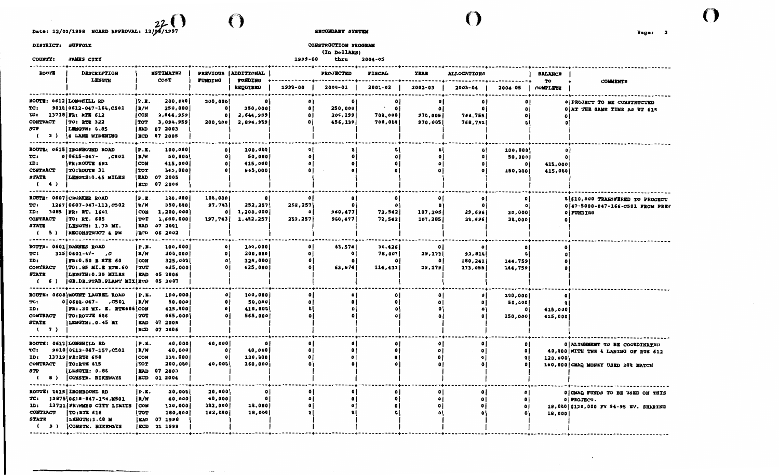Date: 12/09/1998 BOARD APPROVAL: 12/09/1997  $\bigodot$ 

 $\cdots$ 

DISTRICT: SUFFOLK

COUNTY: JAMES CITY

#### **SECONDARY SYSTEM**

 $\mathbf{O}$ 

 $\sim$   $\sim$ 

 $\sim$ 

CONSTRUCTION PROGRAM

(In DollARS)

1999-00 thru 2004-05

()

| <b>ROUTE</b>                                               | <b>DESCRIPTION</b>                                                                                                                                  |                                                             | <b>ESTIMATED</b>                                                     |                                               | PREVIOUS ADDITIONAL                       |                                        | <b>PROJECTED</b>                | FISCAL                                     | YEAR                    | <b>ALLOCATIONS</b>                         |                                                  | <b>BALANCE</b>                          |                                                                                                           |
|------------------------------------------------------------|-----------------------------------------------------------------------------------------------------------------------------------------------------|-------------------------------------------------------------|----------------------------------------------------------------------|-----------------------------------------------|-------------------------------------------|----------------------------------------|---------------------------------|--------------------------------------------|-------------------------|--------------------------------------------|--------------------------------------------------|-----------------------------------------|-----------------------------------------------------------------------------------------------------------|
|                                                            | LENGTH                                                                                                                                              |                                                             | <b>COST</b>                                                          | <b>FUNDING</b>                                | <b>FUNDING</b><br>REQUIRED                | 1999-00                                | $2000 - 01$                     | 2001-02                                    | 2002-03                 | $2003 - 04$                                | 2004-05                                          | TO<br>COMPLETE                          | <b>COMMENTS</b>                                                                                           |
| TC:<br>ID:<br><b>CONTRACT</b><br>STP<br>$\epsilon$         | ROUTE: 0612 LONGHILL RD<br>9010 0612-047-164, C501<br>13718 FR: RTE 612<br>TO: RTE 322<br>LENGTH: 0.85<br>3) 4 LANE WIDENING                        | P.E.<br> R/W <br>CON<br>TOT  <br>i ead<br>ECD               | 200,000<br>250,000<br>2,644,959<br>3,094,959<br>07 2003<br>07 2005   | 200,000<br>$\circ$<br>$\circ$<br>200,000      | 250,000<br>2,644,959<br>2,894,959         | $\mathbf{0}$<br>$\bullet$              | 250,000<br>206,199<br>456,199   | $\cdot$<br>$\bullet$<br>700,000<br>700,000 | ۰<br>970,005<br>970,005 | $^{\circ}$<br>768,755<br>768,755           | ٥I<br>٥I                                         | ۰                                       | <b>O PROJECT TO BE CONSTRUCTED</b><br>0 AT THE SAME TIME AS RT 615                                        |
| TC:<br>ID:<br><b>CONTRACT</b><br>STATE<br>(4)              | ROUTE: 0615   IRONBOUND ROAD<br>$0 0615 - 047 - .C501$<br>FR:ROUTE 681<br>TO: ROUTE 31<br>LENGTH: 0.45 MILES                                        | P.B.<br>IR/W<br>l CON<br>TOT<br>I BAD<br><b>BCD</b>         | 100,000<br>50,000<br>415,000<br>565,000<br>07 2005<br>07 2006        | $\bullet$<br>٥l<br>$\mathbf{0}$               | 100,000<br>50,000<br>415,000<br>565,000   | ۰                                      |                                 | e                                          | $\bullet$               | $\bullet$<br>$^{\circ}$<br>$\mathbf{0}$    | 100,000<br>50,000<br>$\mathbf{0}$<br>150,000     | ٥<br>۰<br>415,000<br>415,000            |                                                                                                           |
| TC:<br>ID:<br><b>CONTRACT</b><br>STATE<br>5)<br>$\epsilon$ | ROUTE: 0607 CROAKER ROAD<br>1267   0607 - 047 - 113, C502<br>3089   FR: RT. 1601<br>TO: RT. 605<br> LENGTH: 1.73 MI.<br>RECONSTRUCT & PM            | P.E.<br>  R/W<br>I CON<br>TOT<br><b>EAD</b><br>ECD          | 100,000<br>350,000<br>1, 200, 000<br>1,650,000<br>07 2001<br>06 2002 | 100,000<br>97,743<br>$^{\circ}$<br>197,743    | ۰<br>252,257<br>1,200,000<br>1,452,257    | 0<br>252,257<br>$\mathbf o$<br>252,257 | $\bullet$<br>960,477<br>960,477 | $\mathbf{o}$<br>۰<br>72,542<br>72,542      | ۰<br>107,285<br>107,285 | $\circ$ l<br>$\bullet$<br>29,696<br>29,696 | $\mathbf{0}$<br>$\mathbf{0}$<br>30,000<br>30,000 | Ō.                                      | 0 \$10,000 TRANSFERED TO PROJECT<br>0 47-5000-047-166-C501 FROM PREV<br>0 FUNDING                         |
| TC:<br>ID:<br><b>CONTRACT</b><br>STATE<br>6)<br>$\epsilon$ | ROUTE: 0601 BARNES ROAD<br>$325 0601-47-$ , C<br><b>FR:0.50 E RTE 60</b><br>TO: . 85 MI.E RTE. 60<br>LENGTH: 0.35 MILES<br>GR.DR.STAB.PLANT MIX ECD | IP.E.<br>  R/W<br>  CON<br>l TOT<br><b>EAD</b>              | 100,000<br>200,000<br>325,000<br>625,000<br>05 2006<br>05 2007       | ٥i<br>$\mathbf{o}$<br>$\mathbf{0}$<br>$\circ$ | 100,000<br>200,000<br>325,000<br>625,000  | ۰<br>٥                                 | 63,574<br>$\bullet$<br>63,574   | 36,426<br>78,007<br>114,433                | 29,179<br>29,179        | 92,814<br>180,241<br>273,055               | $\mathbf{a}$<br>144,759<br>144,759               | ۰<br>0  <br>٥I<br>٥۱                    |                                                                                                           |
| TC:<br>ID:<br><b>CONTRACT</b><br>STATE<br>(7)              | ROUTE: 0608 MOUNT LAUREL ROAD<br>$0 0608 - 047 -$<br>, C5 0 1<br> FR: .30 MI. E. RTE606 CON<br>TO:ROUTE 606<br>LENGTH: . 0.45 MI                    | P.E.<br> R/W <br>  TOT<br><b>EAD</b><br>ECD                 | 100,000<br>50,000<br>415,000<br>565,000<br>07 2005<br>07 2006        | $\bullet$<br>$\bullet$<br>$\bullet$           | 100,000<br>50,000<br>415,000<br>565,000   |                                        | ٥                               | ۰<br>۰                                     |                         | $\mathbf{0}$<br>$\mathbf{0}$               | 100,000<br>50,000<br>150,000                     | ٥<br>$\mathbf{a}$<br>415,000<br>415,000 |                                                                                                           |
| TC:<br>ID:<br><b>CONTRACT</b><br><b>STP</b><br>8)<br>- 6   | ROUTE: 0612 LONGHILL RD<br>9010 0612-047-157, C501<br>13719 FR:RTE 658<br>TO:RTE 615<br>LENGTH: 0.86<br>CONSTR. BIKEWAYS                            | P.E.<br> R/W<br>CON<br>l TOT<br>l Bad<br>i ECD              | 40,000<br>40,000<br>120,000<br>200,000<br>07 2003<br>01 2004         | 40,000<br>$\bullet$<br>$\circ$<br>40,000      | $\bullet$<br>40,000<br>120,000<br>160,000 | ۰                                      |                                 |                                            | ۰<br>۰<br>۰             | $\bullet$                                  | $\mathbf{a}$                                     | 120,000                                 | 0 ALIGNMENT TO BE COORDINATED<br>40,000 WITH THE 4 LANING OF RTE 612<br>160,000 CMAQ MONEY USED 20% MATCH |
| TC:<br>ID:<br><b>CONTRACT</b><br>STATE<br>(9)              | <b>ROUTE: 0615 IRONBOUND RD</b><br>13875 0615-047-154, 1501<br>13721 FR:WMBG CITY LIMITS<br><b>TO:RTE 616</b><br>LENGTH: 1.08 M<br>CONSTR. BIKEWAYS | P.E.<br> R/N <br><b>CON</b><br>TOT  <br><b>EAD</b><br>i ECD | 20,000<br>40,000<br>120,000<br>180,000<br>07 1998<br>01 1999         | 20,000<br>40,000<br>102,000<br>162,000        | ۰<br>$\bullet$<br>18,000<br>18,000        |                                        | ٥<br>٥                          | ٥                                          | ۰<br>٥<br>۰             | $\mathbf{a}$<br>۰<br>o<br>$\mathbf{a}$     | ۰                                                | 18,000                                  | 0 CMAQ FUNDS TO BE USED ON THIS<br>0   PROJECT.<br>18,000 \$120,000 FY 94-95 EV. SHARING                  |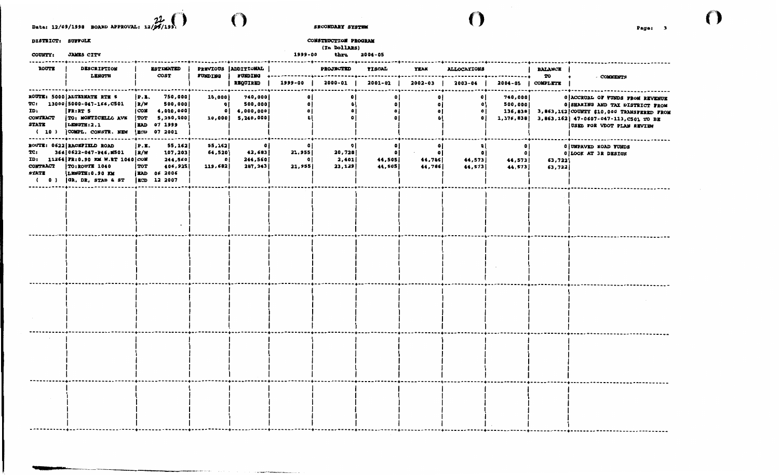Date: 12/09/1998 BOARD APPROVAL:  $\mathcal{U}_{\mathcal{A}}$  ()

DISTRICT: SUFFOLK

COUNTY: JAMES CITY

CONSTRUCTION PROGRAM (In DollARS) 1999-00 thru 2004-05

SKCONDARY SYSTEM

 $\mathbf{O}_{\mathbb{Z}}$ 

| <b>ROUTE</b>                                            | <b>DESCRIPTION</b><br><b>LENGTH</b>                                                                                                                                     |                           | <b>ESTIMATED</b><br>COST                                                                                   | <b>FUNDING</b>                           | PREVIOUS ADDITIONAL<br><b>TUNDING</b>                     |                                            | <b>PROJECTED</b>                                                                | <b>FISCAL</b>                                   | YEAR                                     | <b>ALLOCATIONS</b>                                  | . <b>.</b>                           | <b>BALANCE</b><br>TO |                                                                                                                                                                                                                       |
|---------------------------------------------------------|-------------------------------------------------------------------------------------------------------------------------------------------------------------------------|---------------------------|------------------------------------------------------------------------------------------------------------|------------------------------------------|-----------------------------------------------------------|--------------------------------------------|---------------------------------------------------------------------------------|-------------------------------------------------|------------------------------------------|-----------------------------------------------------|--------------------------------------|----------------------|-----------------------------------------------------------------------------------------------------------------------------------------------------------------------------------------------------------------------|
|                                                         |                                                                                                                                                                         |                           | . 4 - - - - - - - - - - - - - - - 4                                                                        |                                          | REQUIRED<br>-------+----------                            | 1999-00                                    | 2000-01                                                                         | 2001-02                                         | 2002-03                                  | 2003-04                                             |                                      | 2004-05   COMPLETE   | <b>COMMENTS</b>                                                                                                                                                                                                       |
| ID:<br><b>CONTRACT</b><br>STATE<br>-----------+-------- | ROUTE: 5000 ALTERNATE RTE 5<br>$TC: 13000 5000-047-166, C501$<br>FR:RT 5<br>TO: MONTICELLO AVE<br>LENGTH: 2.1<br>$(10)$ $\vert$ COMPL. CONSTR. NEW                      | P.X.<br> R/W              | 750,000<br>500,000<br>$[CON \t4, 000, 000]$<br>[TOT 5, 250, 000]<br><b>EAD</b> 07 1999<br>ECD 07 2001<br>. | 10,000<br>οí                             | 740,000<br>500,000<br>0   4,000,000  <br>10,000 5,240,000 | $\bullet$<br>٥I<br>$\bullet$<br>$\bullet$  | $\mathbf{0}$<br>$\bullet$<br>$\bullet$<br>$\theta$<br>------------------------- | ٥i<br>$\mathbf{0}$<br>$\mathbf{0}$<br>$\bullet$ | ٥l<br>$\mathbf{0}$<br>$\mathbf{a}$       | $\mathbf{0}$<br>$\bullet$<br>$\bullet$<br>$\bullet$ | 740,000<br>500,000                   |                      | <b>O ACCRUAL OF FUNDS FROM REVENUE</b><br>0 SHARING AND TAX DISTRICT FROM<br>136,838 3,863,162 COUNTY \$10,000 TRANSFERED FROM<br>1,376,838 3,863,162 47-0607-047-113,C501 TO BE<br><b>JUSED FOR VDOT PLAN REVIEW</b> |
| TC:<br><b>CONTRACT</b><br>STATE                         | ROUTE: 0622 RACEFIELD ROAD<br>364   0622-047-P46, M501<br>ID: 11264 FR: 0.90 KM W.RT 1040 COM<br><b>TO:ROUTE 1040</b><br>LENGTH: 0.90 KM<br>$(0)$ $ $ GR, DR, STAB 4 ST | P.E.<br>R/W<br><b>TOT</b> | 55,162<br>107,203<br>244,560<br>406,925<br><b>EAD</b> 06 2006<br>ECD 12 2007                               | 55,162<br>64,520<br>$\bullet$<br>119,682 | $\bullet$<br>42,683<br>244,560<br>287,243                 | $\bullet$<br>21,955<br>$\bullet$<br>21,955 | 20,728<br>2,401<br>23,129                                                       | - O I<br>44,505<br>44,505                       | $\mathbf{0}$<br>- 01<br>44,786<br>44,786 | ٥I<br>$^{\circ}$<br>44,573<br>44,573                | 0 I<br>$\bullet$<br>44,573<br>44,573 | 63,722<br>63,722     | 0 UNPAVED ROAD FUNDS<br>0 LOOK AT 3R DESIGN                                                                                                                                                                           |
|                                                         |                                                                                                                                                                         |                           |                                                                                                            |                                          |                                                           |                                            |                                                                                 |                                                 |                                          |                                                     |                                      |                      |                                                                                                                                                                                                                       |
|                                                         |                                                                                                                                                                         |                           |                                                                                                            |                                          |                                                           |                                            |                                                                                 |                                                 |                                          |                                                     |                                      |                      |                                                                                                                                                                                                                       |
|                                                         |                                                                                                                                                                         |                           |                                                                                                            |                                          |                                                           |                                            |                                                                                 |                                                 |                                          |                                                     |                                      |                      |                                                                                                                                                                                                                       |
|                                                         |                                                                                                                                                                         |                           |                                                                                                            |                                          |                                                           |                                            |                                                                                 |                                                 |                                          |                                                     |                                      |                      |                                                                                                                                                                                                                       |
|                                                         |                                                                                                                                                                         |                           |                                                                                                            |                                          |                                                           |                                            |                                                                                 |                                                 |                                          |                                                     |                                      |                      |                                                                                                                                                                                                                       |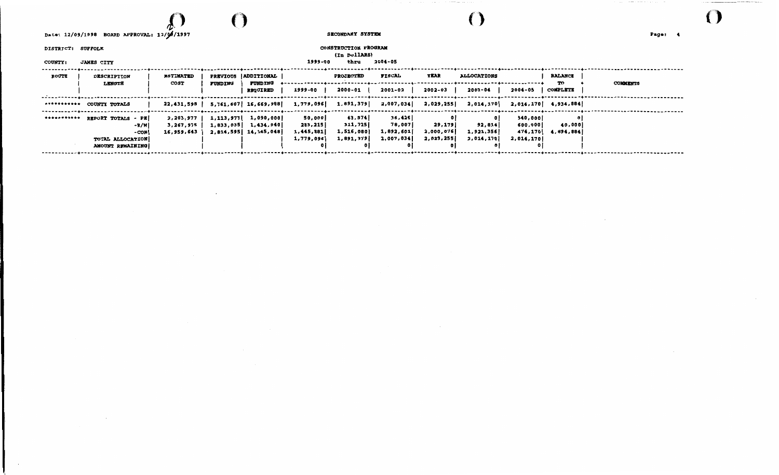# $\Omega$  ()

 $\cdot$ 

Date: 12/09/1998 BOARD APPROVAL: 12/06/1997

 $\sim$   $\sim$ 

SECONDARY SYSTEM

DISTRICT: SUFFOLK

CONSTRUCTION PROGRAM (In DollARS)

#### 1999-00 thru 2004-05

()

° ary ara-daharanjarahasin'ilay kaominina dia 49.723° ary .<br>Ny faritr'ora dia GMT+1.

| <b>COUNTY:</b> | <b>JAMES CITY</b>                           |                          |                          |                                     | 1999-00           | thru              | 2004-05          |           |                    |                    |                      |                 |
|----------------|---------------------------------------------|--------------------------|--------------------------|-------------------------------------|-------------------|-------------------|------------------|-----------|--------------------|--------------------|----------------------|-----------------|
| <b>ROUTE</b>   | <b>DESCRIPTION</b>                          | <b>ESTIMATED</b><br>COST | <b>PREVIOUS</b>          | <b>ADDITIONAL</b><br><b>FUNDING</b> |                   | <b>PROJECTED</b>  | FISCAL           | YEAR      | <b>ALLOCATIONS</b> |                    | <b>BALANCE</b><br>TO | <b>COMMENTS</b> |
|                | <b>LENGTH</b>                               |                          | <b>FUNDING</b>           | <b>REQUIRED</b>                     | 1999-00           | 2000-01           | 2001-02          | 2002-03   | 2003-04            | 2004-05            | <b>COMPLETE</b>      |                 |
| ***********    | COUNTY TOTALS                               | 22,431,595               |                          | 5,761,607 16,669,988                | 1,779,096         | 1,891,379         | 2,007,034        | 2,029,255 | 2,014,170          |                    | 2,014,170 4,934,884  |                 |
| ***********    | REPORT TOTALS - PE                          | 2,203,977<br>3,267,975   | 1, 113, 977<br>1,833,035 | 1,090,000<br>1,434,940              | 50,000<br>283,215 | 63,574<br>311,725 | 36,426<br>78,007 | 29,179    | 0 I<br>92,814      | 940,000<br>600,000 | 40,000               |                 |
|                | -R/W<br>- CON                               | 16,959,643               |                          | 2,814,595   14,145,048              | 1,445,881         | 1,516,080         | 1,892,601        | 2,000,076 | 1,921,356          | 474,170            | 4,894,884            |                 |
|                | TOTAL ALLOCATION<br><b>AMOUNT REMAINING</b> |                          |                          |                                     | 1,779,096         | 1,891,379         | 2,007,034        | 2,029,255 | 2,014,170          | 2,014,170          |                      |                 |
|                |                                             |                          |                          |                                     |                   |                   |                  |           |                    |                    |                      |                 |

 $\mathcal{F}$  , and its constant masses of the set of  $\mathcal{F}$  , and  $\mathcal{F}$ 

 $\sim 0.1$ 

 $\hat{O}$ 

**The contract of the continuum contract of the contract of the contract of the contract of the contract of the** 

 $\sim 10^{-1}$